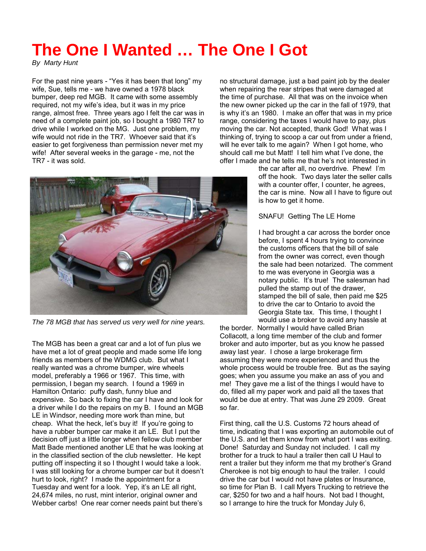## **The One I Wanted … The One I Got**

*By Marty Hunt* 

For the past nine years - "Yes it has been that long" my wife, Sue, tells me - we have owned a 1978 black bumper, deep red MGB. It came with some assembly required, not my wife's idea, but it was in my price range, almost free. Three years ago I felt the car was in need of a complete paint job, so I bought a 1980 TR7 to drive while I worked on the MG. Just one problem, my wife would not ride in the TR7. Whoever said that it's easier to get forgiveness than permission never met my wife! After several weeks in the garage - me, not the TR7 - it was sold.

no structural damage, just a bad paint job by the dealer when repairing the rear stripes that were damaged at the time of purchase. All that was on the invoice when the new owner picked up the car in the fall of 1979, that is why it's an 1980. I make an offer that was in my price range, considering the taxes I would have to pay, plus moving the car. Not accepted, thank God! What was I thinking of, trying to scoop a car out from under a friend, will he ever talk to me again? When I got home, who should call me but Matt! I tell him what I've done, the offer I made and he tells me that he's not interested in

> the car after all, no overdrive. Phew! I'm off the hook. Two days later the seller calls with a counter offer, I counter, he agrees, the car is mine. Now all I have to figure out is how to get it home.

SNAFU! Getting The LE Home

I had brought a car across the border once before, I spent 4 hours trying to convince the customs officers that the bill of sale from the owner was correct, even though the sale had been notarized. The comment to me was everyone in Georgia was a notary public. It's true! The salesman had pulled the stamp out of the drawer, stamped the bill of sale, then paid me \$25 to drive the car to Ontario to avoid the Georgia State tax. This time, I thought I would use a broker to avoid any hassle at

the border. Normally I would have called Brian Collacott, a long time member of the club and former broker and auto importer, but as you know he passed away last year. I chose a large brokerage firm assuming they were more experienced and thus the whole process would be trouble free. But as the saying goes; when you assume you make an ass of you and me! They gave me a list of the things I would have to do, filled all my paper work and paid all the taxes that would be due at entry. That was June 29 2009. Great so far.

First thing, call the U.S. Customs 72 hours ahead of time, indicating that I was exporting an automobile out of the U.S. and let them know from what port I was exiting. Done! Saturday and Sunday not included. I call my brother for a truck to haul a trailer then call U Haul to rent a trailer but they inform me that my brother's Grand Cherokee is not big enough to haul the trailer. I could drive the car but I would not have plates or Insurance, so time for Plan B. I call Myers Trucking to retrieve the car, \$250 for two and a half hours. Not bad I thought, so I arrange to hire the truck for Monday July 6,



*The 78 MGB that has served us very well for nine years.* 

The MGB has been a great car and a lot of fun plus we have met a lot of great people and made some life long friends as members of the WDMG club. But what I really wanted was a chrome bumper, wire wheels model, preferably a 1966 or 1967. This time, with permission, I began my search. I found a 1969 in Hamilton Ontario: puffy dash, funny blue and expensive. So back to fixing the car I have and look for a driver while I do the repairs on my B. I found an MGB LE in Windsor, needing more work than mine, but cheap. What the heck, let's buy it! If you're going to have a rubber bumper car make it an LE. But I put the decision off just a little longer when fellow club member Matt Bade mentioned another LE that he was looking at in the classified section of the club newsletter. He kept putting off inspecting it so I thought I would take a look. I was still looking for a chrome bumper car but it doesn't hurt to look, right? I made the appointment for a Tuesday and went for a look. Yep, it's an LE all right, 24,674 miles, no rust, mint interior, original owner and Webber carbs! One rear corner needs paint but there's